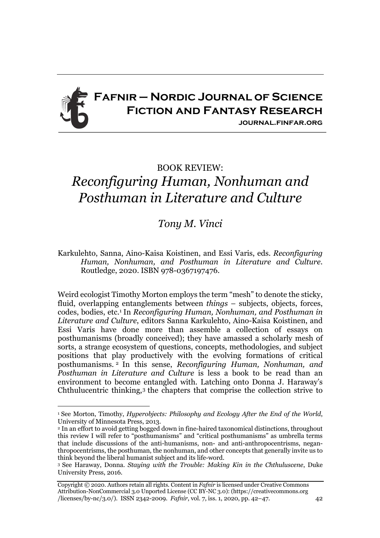

## BOOK REVIEW:

## *Reconfiguring Human, Nonhuman and Posthuman in Literature and Culture*

## *Tony M. Vinci*

Karkulehto, Sanna, Aino-Kaisa Koistinen, and Essi Varis, eds. *Reconfiguring Human, Nonhuman, and Posthuman in Literature and Culture*. Routledge, 2020. ISBN 978-0367197476.

Weird ecologist Timothy Morton employs the term "mesh" to denote the sticky, fluid, overlapping entanglements between *things* – subjects, objects, forces, codes, bodies, etc.1 In *Reconfiguring Human, Nonhuman, and Posthuman in Literature and Culture*, editors Sanna Karkulehto, Aino-Kaisa Koistinen, and Essi Varis have done more than assemble a collection of essays on posthumanisms (broadly conceived); they have amassed a scholarly mesh of sorts, a strange ecosystem of questions, concepts, methodologies, and subject positions that play productively with the evolving formations of critical posthumanisms. <sup>2</sup> In this sense, *Reconfiguring Human, Nonhuman, and Posthuman in Literature and Culture* is less a book to be read than an environment to become entangled with. Latching onto Donna J. Haraway's Chthulucentric thinking,3 the chapters that comprise the collection strive to

<sup>1</sup> See Morton, Timothy, *Hyperobjects: Philosophy and Ecology After the End of the World*, University of Minnesota Press, 2013.

<sup>2</sup> In an effort to avoid getting bogged down in fine-haired taxonomical distinctions, throughout this review I will refer to "posthumanisms" and "critical posthumanisms" as umbrella terms that include discussions of the anti-humanisms, non- and anti-anthropocentrisms, neganthropocentrisms, the posthuman, the nonhuman, and other concepts that generally invite us to think beyond the liberal humanist subject and its life-word.

<sup>3</sup> See Haraway, Donna. *Staying with the Trouble: Making Kin in the Chthuluscene*, Duke University Press, 2016.

Copyright © 2020. Authors retain all rights. Content in *Fafnir* is licensed under Creative Commons Attribution-NonCommercial 3.0 Unported License (CC BY-NC 3.0): (https://creativecommons.org /licenses/by-nc/3.0/). ISSN 2342-2009. *Fafnir*, vol. 7, iss. 1, 2020, pp. 42–47. 42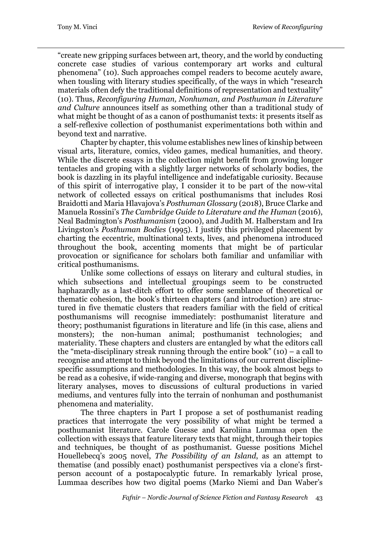"create new gripping surfaces between art, theory, and the world by conducting concrete case studies of various contemporary art works and cultural phenomena" (10). Such approaches compel readers to become acutely aware, when tousling with literary studies specifically, of the ways in which "research materials often defy the traditional definitions of representation and textuality" (10). Thus, *Reconfiguring Human, Nonhuman, and Posthuman in Literature and Culture* announces itself as something other than a traditional study of what might be thought of as a canon of posthumanist texts: it presents itself as a self-reflexive collection of posthumanist experimentations both within and beyond text and narrative.

Chapter by chapter, this volume establishes new lines of kinship between visual arts, literature, comics, video games, medical humanities, and theory. While the discrete essays in the collection might benefit from growing longer tentacles and groping with a slightly larger networks of scholarly bodies, the book is dazzling in its playful intelligence and indefatigable curiosity. Because of this spirit of interrogative play, I consider it to be part of the now-vital network of collected essays on critical posthumanisms that includes Rosi Braidotti and Maria Hlavajova's *Posthuman Glossary* (2018), Bruce Clarke and Manuela Rossini's *The Cambridge Guide to Literature and the Human* (2016), Neal Badmington's *Posthumanism* (2000), and Judith M. Halberstam and Ira Livingston's *Posthuman Bodies* (1995). I justify this privileged placement by charting the eccentric, multinational texts, lives, and phenomena introduced throughout the book, accenting moments that might be of particular provocation or significance for scholars both familiar and unfamiliar with critical posthumanisms.

Unlike some collections of essays on literary and cultural studies, in which subsections and intellectual groupings seem to be constructed haphazardly as a last-ditch effort to offer some semblance of theoretical or thematic cohesion, the book's thirteen chapters (and introduction) are structured in five thematic clusters that readers familiar with the field of critical posthumanisms will recognise immediately: posthumanist literature and theory; posthumanist figurations in literature and life (in this case, aliens and monsters); the non-human animal; posthumanist technologies; and materiality. These chapters and clusters are entangled by what the editors call the "meta-disciplinary streak running through the entire book" (10) – a call to recognise and attempt to think beyond the limitations of our current disciplinespecific assumptions and methodologies. In this way, the book almost begs to be read as a cohesive, if wide-ranging and diverse, monograph that begins with literary analyses, moves to discussions of cultural productions in varied mediums, and ventures fully into the terrain of nonhuman and posthumanist phenomena and materiality.

The three chapters in Part I propose a set of posthumanist reading practices that interrogate the very possibility of what might be termed a posthumanist literature. Carole Guesse and Karoliina Lummaa open the collection with essays that feature literary texts that might, through their topics and techniques, be thought of as posthumanist. Guesse positions Michel Houellebecq's 2005 novel, *The Possibility of an Island*, as an attempt to thematise (and possibly enact) posthumanist perspectives via a clone's firstperson account of a postapocalyptic future. In remarkably lyrical prose, Lummaa describes how two digital poems (Marko Niemi and Dan Waber's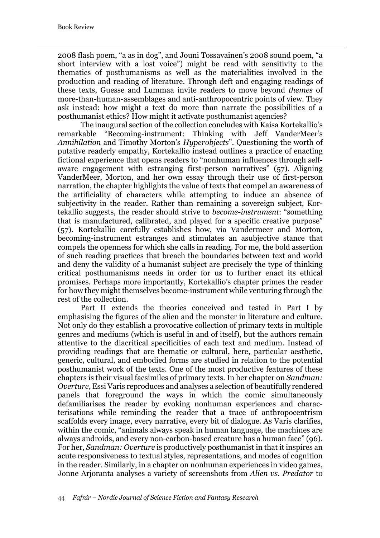2008 flash poem, "a as in dog", and Jouni Tossavainen's 2008 sound poem, "a short interview with a lost voice") might be read with sensitivity to the thematics of posthumanisms as well as the materialities involved in the production and reading of literature. Through deft and engaging readings of these texts, Guesse and Lummaa invite readers to move beyond *themes* of more-than-human-assemblages and anti-anthropocentric points of view. They ask instead: how might a text do more than narrate the possibilities of a posthumanist ethics? How might it activate posthumanist agencies?

The inaugural section of the collection concludes with Kaisa Kortekallio's remarkable "Becoming-instrument: Thinking with Jeff VanderMeer's *Annihilation* and Timothy Morton's *Hyperobjects*". Questioning the worth of putative readerly empathy, Kortekallio instead outlines a practice of enacting fictional experience that opens readers to "nonhuman influences through selfaware engagement with estranging first-person narratives" (57). Aligning VanderMeer, Morton, and her own essay through their use of first-person narration, the chapter highlights the value of texts that compel an awareness of the artificiality of characters while attempting to induce an absence of subjectivity in the reader. Rather than remaining a sovereign subject, Kortekallio suggests, the reader should strive to *become-instrument*: "something that is manufactured, calibrated, and played for a specific creative purpose" (57). Kortekallio carefully establishes how, via Vandermeer and Morton, becoming-instrument estranges and stimulates an asubjective stance that compels the openness for which she calls in reading. For me, the bold assertion of such reading practices that breach the boundaries between text and world and deny the validity of a humanist subject are precisely the type of thinking critical posthumanisms needs in order for us to further enact its ethical promises. Perhaps more importantly, Kortekallio's chapter primes the reader for how they might themselves become-instrument while venturing through the rest of the collection.

Part II extends the theories conceived and tested in Part I by emphasising the figures of the alien and the monster in literature and culture. Not only do they establish a provocative collection of primary texts in multiple genres and mediums (which is useful in and of itself), but the authors remain attentive to the diacritical specificities of each text and medium. Instead of providing readings that are thematic or cultural, here, particular aesthetic, generic, cultural, and embodied forms are studied in relation to the potential posthumanist work of the texts. One of the most productive features of these chapters is their visual facsimiles of primary texts. In her chapter on *Sandman: Overture*, Essi Varis reproduces and analyses a selection of beautifully rendered panels that foreground the ways in which the comic simultaneously defamiliarises the reader by evoking nonhuman experiences and characterisations while reminding the reader that a trace of anthropocentrism scaffolds every image, every narrative, every bit of dialogue. As Varis clarifies, within the comic, "animals always speak in human language, the machines are always androids, and every non-carbon-based creature has a human face" (96). For her, *Sandman: Overture* is productively posthumanist in that it inspires an acute responsiveness to textual styles, representations, and modes of cognition in the reader. Similarly, in a chapter on nonhuman experiences in video games, Jonne Arjoranta analyses a variety of screenshots from *Alien vs. Predator* to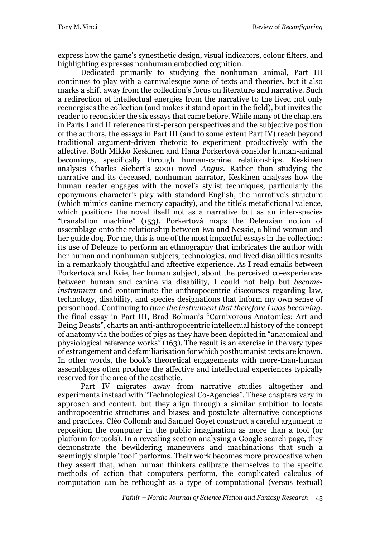express how the game's synesthetic design, visual indicators, colour filters, and highlighting expresses nonhuman embodied cognition.

Dedicated primarily to studying the nonhuman animal, Part III continues to play with a carnivalesque zone of texts and theories, but it also marks a shift away from the collection's focus on literature and narrative. Such a redirection of intellectual energies from the narrative to the lived not only reenergises the collection (and makes it stand apart in the field), but invites the reader to reconsider the six essays that came before. While many of the chapters in Parts I and II reference first-person perspectives and the subjective position of the authors, the essays in Part III (and to some extent Part IV) reach beyond traditional argument-driven rhetoric to experiment productively with the affective. Both Mikko Keskinen and Hana Porkertová consider human-animal becomings, specifically through human-canine relationships. Keskinen analyses Charles Siebert's 2000 novel *Angus*. Rather than studying the narrative and its deceased, nonhuman narrator, Keskinen analyses how the human reader engages with the novel's stylist techniques, particularly the eponymous character's play with standard English, the narrative's structure (which mimics canine memory capacity), and the title's metafictional valence, which positions the novel itself not as a narrative but as an inter-species "translation machine" (153). Porkertová maps the Deleuzian notion of assemblage onto the relationship between Eva and Nessie, a blind woman and her guide dog. For me, this is one of the most impactful essays in the collection: its use of Deleuze to perform an ethnography that imbricates the author with her human and nonhuman subjects, technologies, and lived disabilities results in a remarkably thoughtful and affective experience. As I read emails between Porkertová and Evie, her human subject, about the perceived co-experiences between human and canine via disability, I could not help but *becomeinstrument* and contaminate the anthropocentric discourses regarding law, technology, disability, and species designations that inform my own sense of personhood. Continuing to *tune the instrument that therefore I was becoming*, the final essay in Part III, Brad Bolman's "Carnivorous Anatomies: Art and Being Beasts", charts an anti-anthropocentric intellectual history of the concept of anatomy via the bodies of pigs as they have been depicted in "anatomical and physiological reference works" (163). The result is an exercise in the very types of estrangement and defamiliarisation for which posthumanist texts are known. In other words, the book's theoretical engagements with more-than-human assemblages often produce the affective and intellectual experiences typically reserved for the area of the aesthetic.

Part IV migrates away from narrative studies altogether and experiments instead with "Technological Co-Agencies". These chapters vary in approach and content, but they align through a similar ambition to locate anthropocentric structures and biases and postulate alternative conceptions and practices. Cléo Collomb and Samuel Goyet construct a careful argument to reposition the computer in the public imagination as more than a tool (or platform for tools). In a revealing section analysing a Google search page, they demonstrate the bewildering maneuvers and machinations that such a seemingly simple "tool" performs. Their work becomes more provocative when they assert that, when human thinkers calibrate themselves to the specific methods of action that computers perform, the complicated calculus of computation can be rethought as a type of computational (versus textual)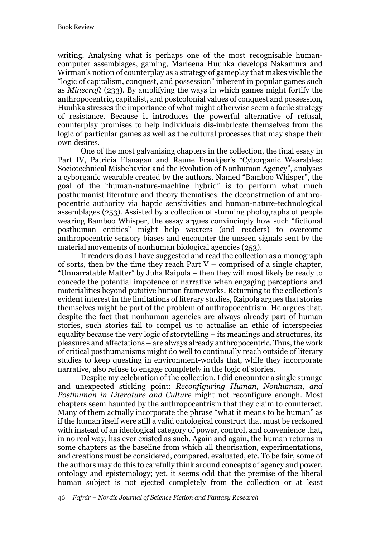writing. Analysing what is perhaps one of the most recognisable humancomputer assemblages, gaming, Marleena Huuhka develops Nakamura and Wirman's notion of counterplay as a strategy of gameplay that makes visible the "logic of capitalism, conquest, and possession" inherent in popular games such as *Minecraft* (233). By amplifying the ways in which games might fortify the anthropocentric, capitalist, and postcolonial values of conquest and possession, Huuhka stresses the importance of what might otherwise seem a facile strategy of resistance. Because it introduces the powerful alternative of refusal, counterplay promises to help individuals dis-imbricate themselves from the logic of particular games as well as the cultural processes that may shape their own desires.

One of the most galvanising chapters in the collection, the final essay in Part IV, Patricia Flanagan and Raune Frankjær's "Cyborganic Wearables: Sociotechnical Misbehavior and the Evolution of Nonhuman Agency", analyses a cyborganic wearable created by the authors. Named "Bamboo Whisper", the goal of the "human-nature-machine hybrid" is to perform what much posthumanist literature and theory thematises: the deconstruction of anthropocentric authority via haptic sensitivities and human-nature-technological assemblages (253). Assisted by a collection of stunning photographs of people wearing Bamboo Whisper, the essay argues convincingly how such "fictional posthuman entities" might help wearers (and readers) to overcome anthropocentric sensory biases and encounter the unseen signals sent by the material movements of nonhuman biological agencies (253).

If readers do as I have suggested and read the collection as a monograph of sorts, then by the time they reach Part  $V$  – comprised of a single chapter, "Unnarratable Matter" by Juha Raipola – then they will most likely be ready to concede the potential impotence of narrative when engaging perceptions and materialities beyond putative human frameworks. Returning to the collection's evident interest in the limitations of literary studies, Raipola argues that stories themselves might be part of the problem of anthropocentrism. He argues that, despite the fact that nonhuman agencies are always already part of human stories, such stories fail to compel us to actualise an ethic of interspecies equality because the very logic of storytelling – its meanings and structures, its pleasures and affectations – are always already anthropocentric. Thus, the work of critical posthumanisms might do well to continually reach outside of literary studies to keep questing in environment-worlds that, while they incorporate narrative, also refuse to engage completely in the logic of stories.

Despite my celebration of the collection, I did encounter a single strange and unexpected sticking point: *Reconfiguring Human, Nonhuman, and Posthuman in Literature and Culture* might not reconfigure enough. Most chapters seem haunted by the anthropocentrism that they claim to counteract. Many of them actually incorporate the phrase "what it means to be human" as if the human itself were still a valid ontological construct that must be reckoned with instead of an ideological category of power, control, and convenience that, in no real way, has ever existed as such. Again and again, the human returns in some chapters as the baseline from which all theorisation, experimentations, and creations must be considered, compared, evaluated, etc. To be fair, some of the authors may do this to carefully think around concepts of agency and power, ontology and epistemology; yet, it seems odd that the premise of the liberal human subject is not ejected completely from the collection or at least